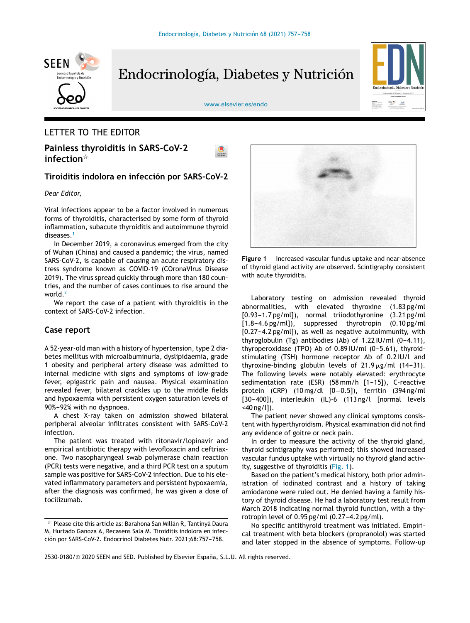

Endocrinología, Diabetes y Nutrición



[www.elsevier.es/endo](http://www.elsevier.es/endo)

#### LETTER TO THE EDITOR

**Painless thyroiditis in SARS-CoV-2 infection**-

#### **Tiroiditis indolora en infección por SARS-CoV-2**

#### *Dear Editor,*

Viral infections appear to be a factor involved in numerous forms of thyroiditis, characterised by some form of thyroid inflammation, subacute thyroiditis and autoimmune thyroid diseases.<sup>[1](#page-1-0)</sup>

In December 2019, a coronavirus emerged from the city of Wuhan (China) and caused a pandemic; the virus, named SARS-CoV-2, is capable of causing an acute respiratory distress syndrome known as COVID-19 (COronaVIrus Disease 2019). The virus spread quickly through more than 180 countries, and the number of cases continues to rise around the world.<sup>[2](#page-1-0)</sup>

We report the case of a patient with thyroiditis in the context of SARS-CoV-2 infection.

#### **Case report**

A 52-year-old man with a history of hypertension, type 2 diabetes mellitus with microalbuminuria, dyslipidaemia, grade 1 obesity and peripheral artery disease was admitted to internal medicine with signs and symptoms of low-grade fever, epigastric pain and nausea. Physical examination revealed fever, bilateral crackles up to the middle fields and hypoxaemia with persistent oxygen saturation levels of 90%-92% with no dyspnoea.

A chest X-ray taken on admission showed bilateral peripheral alveolar infiltrates consistent with SARS-CoV-2 infection.

The patient was treated with ritonavir/lopinavir and empirical antibiotic therapy with levofloxacin and ceftriaxone. Two nasopharyngeal swab polymerase chain reaction (PCR) tests were negative, and a third PCR test on a sputum sample was positive for SARS-CoV-2 infection. Due to his elevated inflammatory parameters and persistent hypoxaemia, after the diagnosis was confirmed, he was given a dose of tocilizumab.



**Figure 1** Increased vascular fundus uptake and near-absence of thyroid gland activity are observed. Scintigraphy consistent with acute thyroiditis.

Laboratory testing on admission revealed thyroid abnormalities, with elevated thyroxine (1.83 pg/ml  $[0.93-1.7 \text{ pg/ml}]$ , normal triiodothyronine  $(3.21 \text{ pg/ml})$  $[1.8-4.6 \text{ pg/ml}])$ , suppressed thyrotropin  $(0.10 \text{ pg/ml})$  $[0.27-4.2 \text{ pg/ml}]$ , as well as negative autoimmunity, with thyroglobulin (Tg) antibodies (Ab) of  $1.22 \text{ IU/ml}$  (0-4.11), thyroperoxidase (TPO) Ab of  $0.89$  IU/ml  $(0-5.61)$ , thyroidstimulating (TSH) hormone receptor Ab of 0.2 IU/l and thyroxine-binding globulin levels of  $21.9 \,\mathrm{\upmu g/mL}$  (14-31). The following levels were notably elevated: erythrocyte sedimentation rate (ESR)  $(58 \text{ mm/h}$  [1-15]), C-reactive protein (CRP) (10 mg/dl [0−0.5]), ferritin (394 ng/ml  $[30-400]$ ), interleukin (IL)-6 (113 ng/l [normal levels <40 ng/l]).

The patient never showed any clinical symptoms consistent with hyperthyroidism. Physical examination did not find any evidence of goitre or neck pain.

In order to measure the activity of the thyroid gland, thyroid scintigraphy was performed; this showed increased vascular fundus uptake with virtually no thyroid gland activity, suggestive of thyroiditis (Fig. 1).

Based on the patient's medical history, both prior administration of iodinated contrast and a history of taking amiodarone were ruled out. He denied having a family history of thyroid disease. He had a laboratory test result from March 2018 indicating normal thyroid function, with a thyrotropin level of  $0.95$  pg/ml  $(0.27-4.2$  pg/ml).

No specific antithyroid treatment was initiated. Empirical treatment with beta blockers (propranolol) was started and later stopped in the absence of symptoms. Follow-up

2530-0180/© 2020 SEEN and SED. Published by Elsevier España, S.L.U. All rights reserved.

 $^\star$  Please cite this article as: Barahona San Millán R, Tantinyà Daura M, Hurtado Ganoza A, Recasens Sala M. Tiroiditis indolora en infección por SARS-CoV-2. Endocrinol Diabetes Nutr. 2021;68:757-758.